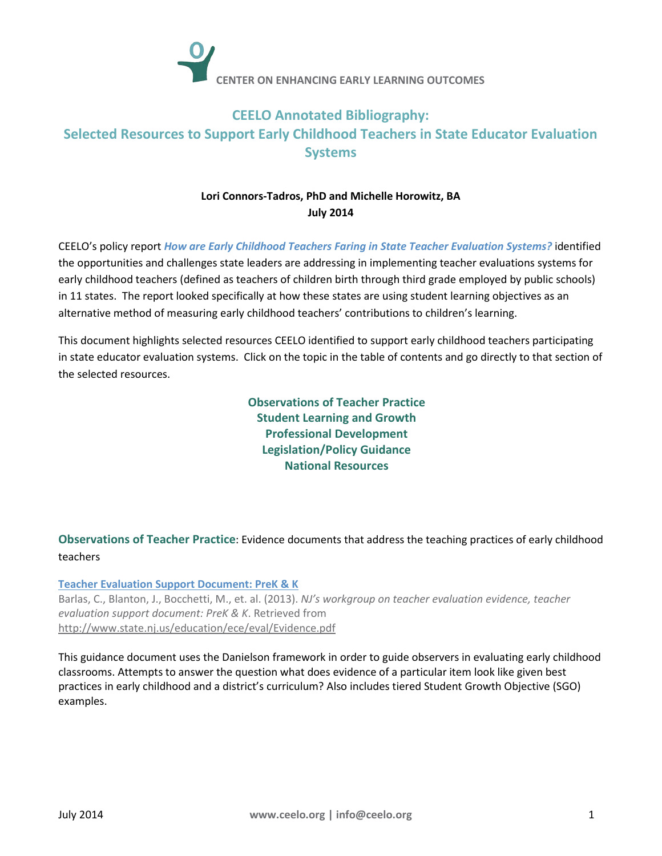

# **CEELO Annotated Bibliography: Selected Resources to Support Early Childhood Teachers in State Educator Evaluation Systems**

## **Lori Connors-Tadros, PhD and Michelle Horowitz, BA July 2014**

CEELO's policy report *[How are Early Childhood Teachers Faring in State Teacher Evaluation Systems?](http://ceelo.org/wp-content/uploads/2014/03/CEELO_policy_report_ece_teachereval_march_2014.pdf)* identified the opportunities and challenges state leaders are addressing in implementing teacher evaluations systems for early childhood teachers (defined as teachers of children birth through third grade employed by public schools) in 11 states. The report looked specifically at how these states are using student learning objectives as an alternative method of measuring early childhood teachers' contributions to children's learning.

This document highlights selected resources CEELO identified to support early childhood teachers participating in state educator evaluation systems. Click on the topic in the table of contents and go directly to that section of the selected resources.

> **[Observations of Teacher Practice](#page-0-0) [Student Learning and Growth](#page-1-0) [Professional Development](#page-1-1) [Legislation/Policy Guidance](#page-2-0) [National Resources](#page-2-1)**

<span id="page-0-0"></span>**Observations of Teacher Practice**: Evidence documents that address the teaching practices of early childhood teachers

## **[Teacher Evaluation Support Document: PreK & K](http://www.state.nj.us/education/ece/eval/Evidence.pdf)**

Barlas, C., Blanton, J., Bocchetti, M., et. al. (2013). *NJ's workgroup on teacher evaluation evidence, teacher evaluation support document: PreK & K*. Retrieved from <http://www.state.nj.us/education/ece/eval/Evidence.pdf>

This guidance document uses the Danielson framework in order to guide observers in evaluating early childhood classrooms. Attempts to answer the question what does evidence of a particular item look like given best practices in early childhood and a district's curriculum? Also includes tiered Student Growth Objective (SGO) examples.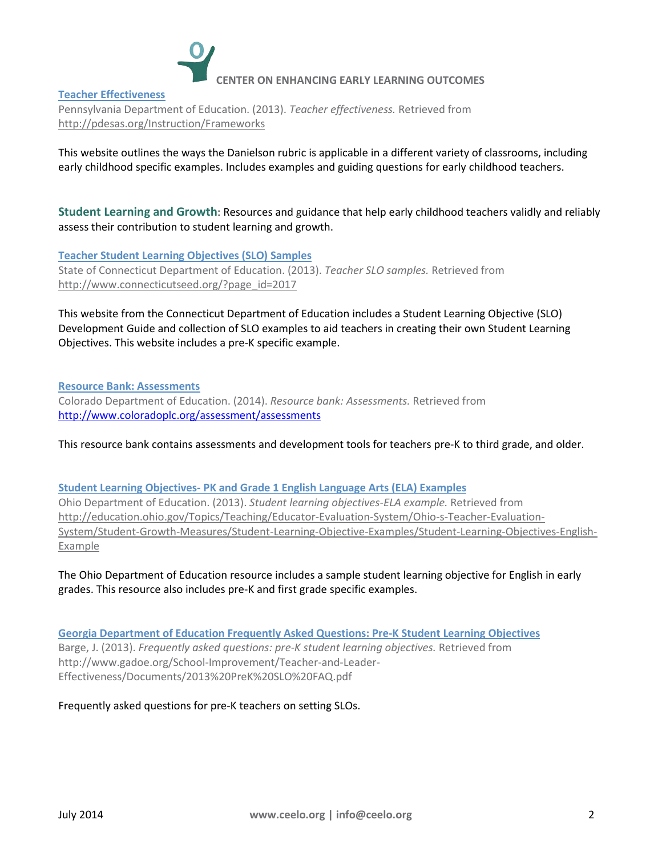

#### **[Teacher Effectiveness](http://pdesas.org/Instruction/Frameworks)**

Pennsylvania Department of Education. (2013). *Teacher effectiveness.* Retrieved from <http://pdesas.org/Instruction/Frameworks>

<span id="page-1-0"></span>This website outlines the ways the Danielson rubric is applicable in a different variety of classrooms, including early childhood specific examples. Includes examples and guiding questions for early childhood teachers.

**Student Learning and Growth**: Resources and guidance that help early childhood teachers validly and reliably assess their contribution to student learning and growth.

**Teacher [Student Learning Objectives](http://www.connecticutseed.org/?page_id=2017) (SLO) Samples** State of Connecticut Department of Education. (2013). *Teacher SLO samples.* Retrieved from [http://www.connecticutseed.org/?page\\_id=2017](http://www.connecticutseed.org/?page_id=2017)

This website from the Connecticut Department of Education includes a Student Learning Objective (SLO) Development Guide and collection of SLO examples to aid teachers in creating their own Student Learning Objectives. This website includes a pre-K specific example.

**[Resource Bank: Assessments](http://www.coloradoplc.org/assessment/assessments)** Colorado Department of Education. (2014). *Resource bank: Assessments.* Retrieved from <http://www.coloradoplc.org/assessment/assessments>

This resource bank contains assessments and development tools for teachers pre-K to third grade, and older.

#### **[Student Learning Objectives-](http://education.ohio.gov/Topics/Teaching/Educator-Evaluation-System/Ohio-s-Teacher-Evaluation-System/Student-Growth-Measures/Student-Learning-Objective-Examples/Student-Learning-Objectives-English-Example) PK and Grade 1 English Language Arts (ELA) Examples**

Ohio Department of Education. (2013). *Student learning objectives-ELA example.* Retrieved from [http://education.ohio.gov/Topics/Teaching/Educator-Evaluation-System/Ohio-s-Teacher-Evaluation-](http://education.ohio.gov/Topics/Teaching/Educator-Evaluation-System/Ohio-s-Teacher-Evaluation-System/Student-Growth-Measures/Student-Learning-Objective-Examples/Student-Learning-Objectives-English-Example)[System/Student-Growth-Measures/Student-Learning-Objective-Examples/Student-Learning-Objectives-English-](http://education.ohio.gov/Topics/Teaching/Educator-Evaluation-System/Ohio-s-Teacher-Evaluation-System/Student-Growth-Measures/Student-Learning-Objective-Examples/Student-Learning-Objectives-English-Example)[Example](http://education.ohio.gov/Topics/Teaching/Educator-Evaluation-System/Ohio-s-Teacher-Evaluation-System/Student-Growth-Measures/Student-Learning-Objective-Examples/Student-Learning-Objectives-English-Example)

The Ohio Department of Education resource includes a sample student learning objective for English in early grades. This resource also includes pre-K and first grade specific examples.

**[Georgia Department of Education Frequently Asked Questions: Pre-K Student Learning Objectives](http://www.gadoe.org/School-Improvement/Teacher-and-Leader-Effectiveness/Documents/2013%20PreK%20SLO%20FAQ.pdf)** Barge, J. (2013). *Frequently asked questions: pre-K student learning objectives.* Retrieved from http://www.gadoe.org/School-Improvement/Teacher-and-Leader-Effectiveness/Documents/2013%20PreK%20SLO%20FAQ.pdf

<span id="page-1-1"></span>Frequently asked questions for pre-K teachers on setting SLOs.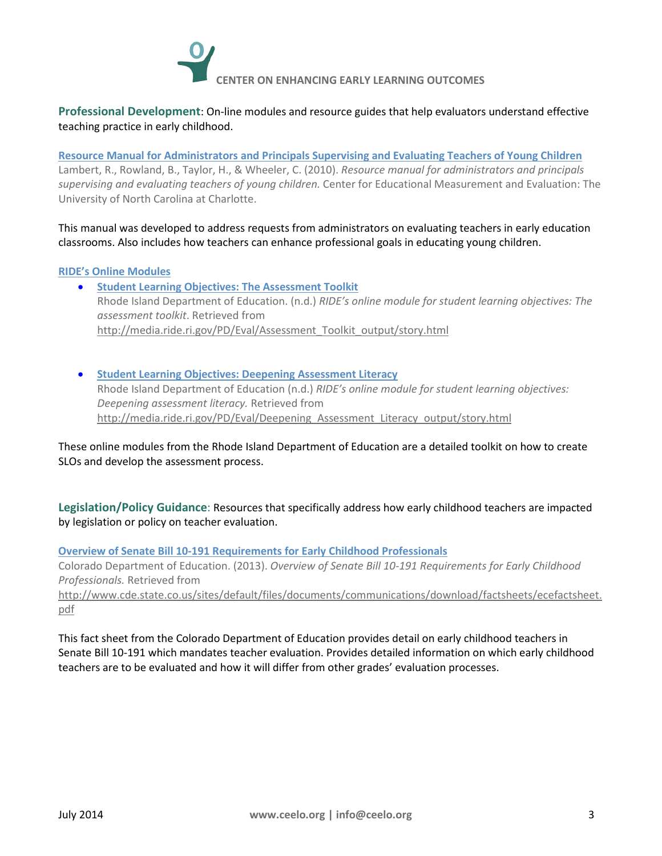

**Professional Development**: On-line modules and resource guides that help evaluators understand effective teaching practice in early childhood.

**[Resource Manual for Administrators and Principals Supervising and Evaluating Teachers of Young Children](http://ncchildcare.nc.gov/pdf_forms/NCPre-K_EvalResource_Manual.pdf)** Lambert, R., Rowland, B., Taylor, H., & Wheeler, C. (2010). *Resource manual for administrators and principals supervising and evaluating teachers of young children.* Center for Educational Measurement and Evaluation: The University of North Carolina at Charlotte.

This manual was developed to address requests from administrators on evaluating teachers in early education classrooms. Also includes how teachers can enhance professional goals in educating young children.

#### **[RIDE's Online](http://www.ride.ri.gov/TeachersAdministrators/EducatorEvaluation/OnlineModules.aspx) Modules**

- **[Student Learning Objectives: The Assessment Toolkit](http://www.ride.ri.gov/TeachersAdministrators/EducatorEvaluation/OnlineModules.aspx)** Rhode Island Department of Education. (n.d.) *RIDE's online module for student learning objectives: The assessment toolkit*. Retrieved from [http://media.ride.ri.gov/PD/Eval/Assessment\\_Toolkit\\_output/story.html](http://media.ride.ri.gov/PD/Eval/Assessment_Toolkit_output/story.html)
- **[Student Learning Objectives: Deepening Assessment Literacy](http://media.ride.ri.gov/PD/Eval/Deepening_Assessment_Literacy_output/story.html)** Rhode Island Department of Education (n.d.) *RIDE's online module for student learning objectives: Deepening assessment literacy.* Retrieved from [http://media.ride.ri.gov/PD/Eval/Deepening\\_Assessment\\_Literacy\\_output/story.html](http://media.ride.ri.gov/PD/Eval/Deepening_Assessment_Literacy_output/story.html)

These online modules from the Rhode Island Department of Education are a detailed toolkit on how to create SLOs and develop the assessment process.

<span id="page-2-0"></span>**Legislation/Policy Guidance**: Resources that specifically address how early childhood teachers are impacted by legislation or policy on teacher evaluation.

**[Overview of Senate Bill 10-191 Requirements for Early Childhood Professionals](http://www.cde.state.co.us/sites/default/files/documents/communications/download/factsheets/ecefactsheet.pdf)**

Colorado Department of Education. (2013). *Overview of Senate Bill 10-191 Requirements for Early Childhood Professionals.* Retrieved from

[http://www.cde.state.co.us/sites/default/files/documents/communications/download/factsheets/ecefactsheet.](http://www.cde.state.co.us/sites/default/files/documents/communications/download/factsheets/ecefactsheet.pdf) [pdf](http://www.cde.state.co.us/sites/default/files/documents/communications/download/factsheets/ecefactsheet.pdf)

<span id="page-2-1"></span>This fact sheet from the Colorado Department of Education provides detail on early childhood teachers in Senate Bill 10-191 which mandates teacher evaluation. Provides detailed information on which early childhood teachers are to be evaluated and how it will differ from other grades' evaluation processes.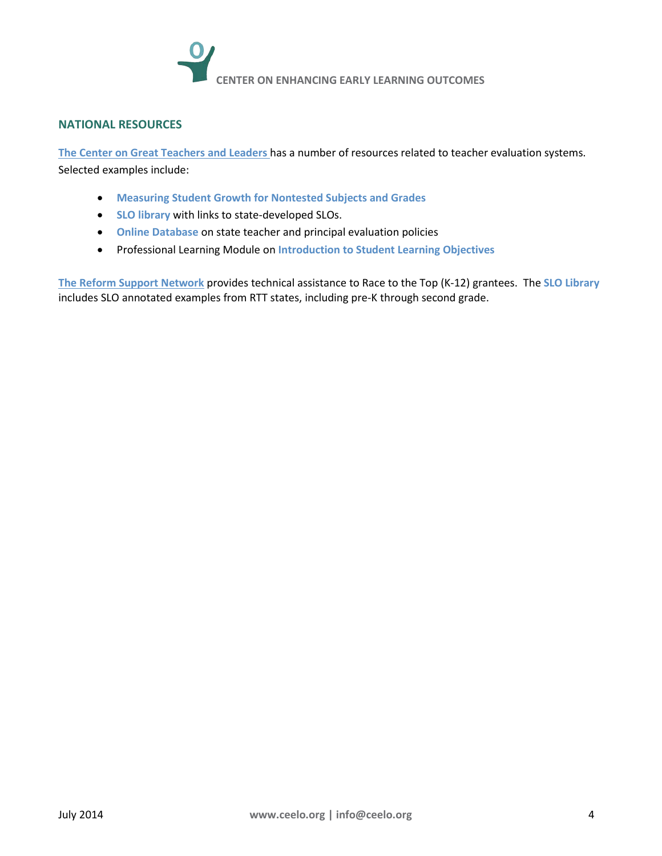

## **NATIONAL RESOURCES**

**[The Center on Great Teachers and Leaders](http://www.gtlcenter.org/)** has a number of resources related to teacher evaluation systems. Selected examples include:

- **[Measuring Student Growth for Nontested Subjects and Grades](http://www.gtlcenter.org/products-resources/measuring-student-growth-nontested-subjects-and-grades)**
- **[SLO library](http://www.gtlcenter.org/learning-hub/student-learning-objectives)** with links to state-developed SLOs.
- **[Online Database](http://resource.tqsource.org/stateevaldb/)** on state teacher and principal evaluation policies
- Professional Learning Module on **[Introduction to Student Learning Objectives](http://www.gtlcenter.org/technical-assistance/professional-learning-modules/introduction-student-learning-objectives)**

**[The Reform Support Network](https://rtt.grads360.org/#program/home)** provides technical assistance to Race to the Top (K-12) grantees. The **[SLO Library](https://rtt.grads360.org/#communities/slo/slo-library)** includes SLO annotated examples from RTT states, including pre-K through second grade.